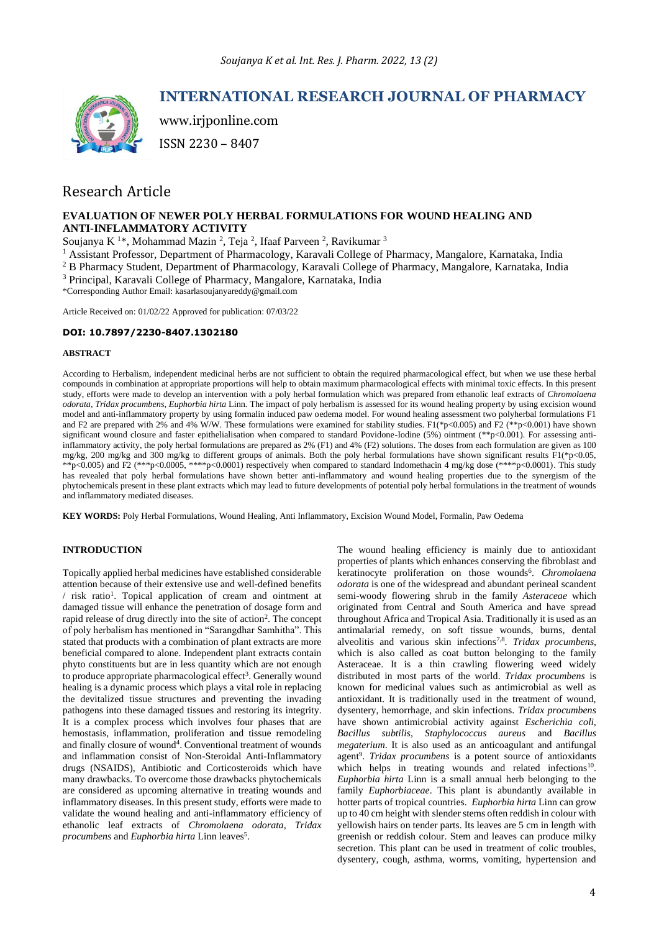

# **INTERNATIONAL RESEARCH JOURNAL OF PHARMACY**

www.irjponline.com

ISSN 2230 – 8407

# Research Article

# **EVALUATION OF NEWER POLY HERBAL FORMULATIONS FOR WOUND HEALING AND ANTI-INFLAMMATORY ACTIVITY**

Soujanya K<sup>1\*</sup>, Mohammad Mazin<sup>2</sup>, Teja<sup>2</sup>, Ifaaf Parveen<sup>2</sup>, Ravikumar<sup>3</sup>

<sup>1</sup> Assistant Professor, Department of Pharmacology, Karavali College of Pharmacy, Mangalore, Karnataka, India

<sup>2</sup> B Pharmacy Student, Department of Pharmacology, Karavali College of Pharmacy, Mangalore, Karnataka, India

<sup>3</sup> Principal, Karavali College of Pharmacy, Mangalore, Karnataka, India

\*Corresponding Author Email: kasarlasoujanyareddy@gmail.com

Article Received on: 01/02/22 Approved for publication: 07/03/22

# **DOI: 10.7897/2230-8407.1302180**

## **ABSTRACT**

According to Herbalism, independent medicinal herbs are not sufficient to obtain the required pharmacological effect, but when we use these herbal compounds in combination at appropriate proportions will help to obtain maximum pharmacological effects with minimal toxic effects. In this present study, efforts were made to develop an intervention with a poly herbal formulation which was prepared from ethanolic leaf extracts of *Chromolaena odorata, Tridax procumbens*, *Euphorbia hirta* Linn*.* The impact of poly herbalism is assessed for its wound healing property by using excision wound model and anti-inflammatory property by using formalin induced paw oedema model. For wound healing assessment two polyherbal formulations F1 and F2 are prepared with 2% and 4% W/W. These formulations were examined for stability studies. F1(\*p<0.005) and F2 (\*\*p<0.001) have shown significant wound closure and faster epithelialisation when compared to standard Povidone-Iodine (5%) ointment (\*\*p<0.001). For assessing antiinflammatory activity, the poly herbal formulations are prepared as 2% (F1) and 4% (F2) solutions. The doses from each formulation are given as 100 mg/kg, 200 mg/kg and 300 mg/kg to different groups of animals. Both the poly herbal formulations have shown significant results F1(\*p<0.05, \*\*p<0.005) and F2 (\*\*\*p<0.0005, \*\*\*\*p<0.0001) respectively when compared to standard Indomethacin 4 mg/kg dose (\*\*\*\*p<0.0001). This study has revealed that poly herbal formulations have shown better anti-inflammatory and wound healing properties due to the synergism of the phytochemicals present in these plant extracts which may lead to future developments of potential poly herbal formulations in the treatment of wounds and inflammatory mediated diseases.

**KEY WORDS:** Poly Herbal Formulations, Wound Healing, Anti Inflammatory, Excision Wound Model, Formalin, Paw Oedema

# **INTRODUCTION**

Topically applied herbal medicines have established considerable attention because of their extensive use and well-defined benefits / risk ratio<sup>1</sup>. Topical application of cream and ointment at damaged tissue will enhance the penetration of dosage form and rapid release of drug directly into the site of action<sup>2</sup>. The concept of poly herbalism has mentioned in "Sarangdhar Samhitha". This stated that products with a combination of plant extracts are more beneficial compared to alone. Independent plant extracts contain phyto constituents but are in less quantity which are not enough to produce appropriate pharmacological effect<sup>3</sup>. Generally wound healing is a dynamic process which plays a vital role in replacing the devitalized tissue structures and preventing the invading pathogens into these damaged tissues and restoring its integrity. It is a complex process which involves four phases that are hemostasis, inflammation, proliferation and tissue remodeling and finally closure of wound<sup>4</sup>. Conventional treatment of wounds and inflammation consist of Non-Steroidal Anti-Inflammatory drugs (NSAIDS), Antibiotic and Corticosteroids which have many drawbacks. To overcome those drawbacks phytochemicals are considered as upcoming alternative in treating wounds and inflammatory diseases. In this present study, efforts were made to validate the wound healing and anti-inflammatory efficiency of ethanolic leaf extracts of *Chromolaena odorata, Tridax*  procumbens and *Euphorbia hirta* Linn leaves<sup>5</sup>.

The wound healing efficiency is mainly due to antioxidant properties of plants which enhances conserving the fibroblast and keratinocyte proliferation on those wounds<sup>6</sup>. Chromolaena *odorata* is one of the widespread and abundant perineal scandent semi-woody flowering shrub in the family *Asteraceae* which originated from Central and South America and have spread throughout Africa and Tropical Asia. Traditionally it is used as an antimalarial remedy, on soft tissue wounds, burns, dental alveolitis and various skin infections<sup>7,8</sup>. Tridax procumbens, which is also called as coat button belonging to the family Asteraceae. It is a thin crawling flowering weed widely distributed in most parts of the world. *Tridax procumbens* is known for medicinal values such as antimicrobial as well as antioxidant. It is traditionally used in the treatment of wound, dysentery, hemorrhage, and skin infections. *Tridax procumbens*  have shown antimicrobial activity against *Escherichia coli, Bacillus subtilis, Staphylococcus aureus* and *Bacillus megaterium*. It is also used as an anticoagulant and antifungal agent<sup>9</sup>. *Tridax procumbens* is a potent source of antioxidants which helps in treating wounds and related infections<sup>10</sup>. *Euphorbia hirta* Linn is a small annual herb belonging to the family *Euphorbiaceae*. This plant is abundantly available in hotter parts of tropical countries. *Euphorbia hirta* Linn can grow up to 40 cm height with slender stems often reddish in colour with yellowish hairs on tender parts. Its leaves are 5 cm in length with greenish or reddish colour. Stem and leaves can produce milky secretion. This plant can be used in treatment of colic troubles, dysentery, cough, asthma, worms, vomiting, hypertension and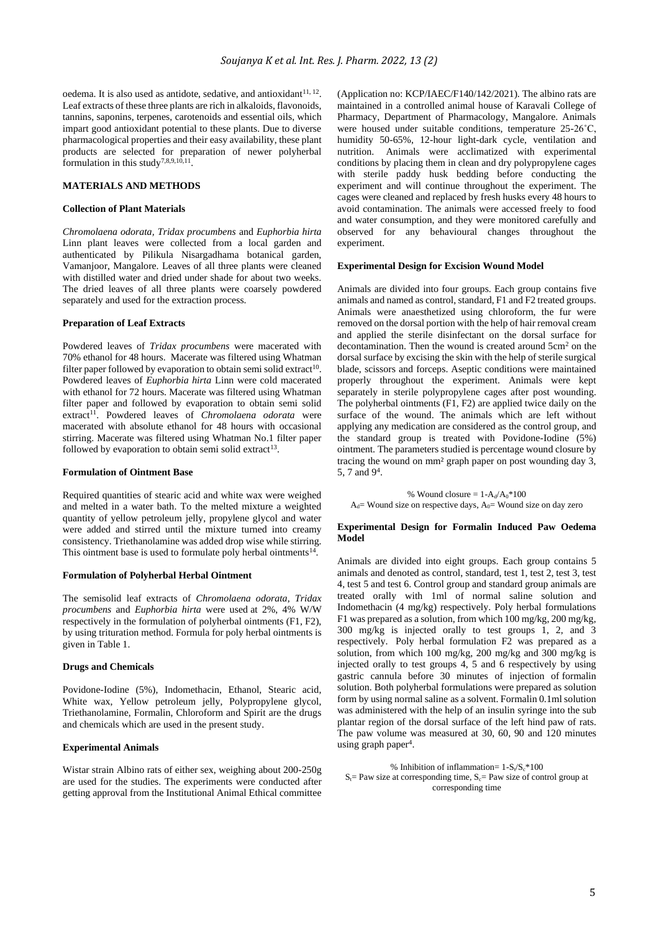oedema. It is also used as antidote, sedative, and antioxidant $^{11, 12}$ . Leaf extracts of these three plants are rich in alkaloids, flavonoids, tannins, saponins, terpenes, carotenoids and essential oils, which impart good antioxidant potential to these plants. Due to diverse pharmacological properties and their easy availability, these plant products are selected for preparation of newer polyherbal formulation in this study<sup>7,8,9,10,11</sup>.

## **MATERIALS AND METHODS**

#### **Collection of Plant Materials**

*Chromolaena odorata, Tridax procumbens* and *Euphorbia hirta*  Linn plant leaves were collected from a local garden and authenticated by Pilikula Nisargadhama botanical garden, Vamanjoor, Mangalore. Leaves of all three plants were cleaned with distilled water and dried under shade for about two weeks. The dried leaves of all three plants were coarsely powdered separately and used for the extraction process.

## **Preparation of Leaf Extracts**

Powdered leaves of *Tridax procumbens* were macerated with 70% ethanol for 48 hours. Macerate was filtered using Whatman filter paper followed by evaporation to obtain semi solid extract<sup>10</sup>. Powdered leaves of *Euphorbia hirta* Linn were cold macerated with ethanol for 72 hours. Macerate was filtered using Whatman filter paper and followed by evaporation to obtain semi solid extract<sup>11</sup>. Powdered leaves of *Chromolaena odorata* were macerated with absolute ethanol for 48 hours with occasional stirring. Macerate was filtered using Whatman No.1 filter paper followed by evaporation to obtain semi solid extract<sup>13</sup>.

## **Formulation of Ointment Base**

Required quantities of stearic acid and white wax were weighed and melted in a water bath. To the melted mixture a weighted quantity of yellow petroleum jelly, propylene glycol and water were added and stirred until the mixture turned into creamy consistency. Triethanolamine was added drop wise while stirring. This ointment base is used to formulate poly herbal ointments<sup>14</sup>.

### **Formulation of Polyherbal Herbal Ointment**

The semisolid leaf extracts of *Chromolaena odorata, Tridax procumbens* and *Euphorbia hirta* were used at 2%, 4% W/W respectively in the formulation of polyherbal ointments (F1, F2), by using trituration method. Formula for poly herbal ointments is given in Table 1.

### **Drugs and Chemicals**

Povidone-Iodine (5%), Indomethacin, Ethanol, Stearic acid, White wax, Yellow petroleum jelly, Polypropylene glycol, Triethanolamine, Formalin, Chloroform and Spirit are the drugs and chemicals which are used in the present study.

### **Experimental Animals**

Wistar strain Albino rats of either sex, weighing about 200-250g are used for the studies. The experiments were conducted after getting approval from the Institutional Animal Ethical committee

(Application no: KCP/IAEC/F140/142/2021). The albino rats are maintained in a controlled animal house of Karavali College of Pharmacy, Department of Pharmacology, Mangalore. Animals were housed under suitable conditions, temperature 25-26˚C, humidity 50-65%, 12-hour light-dark cycle, ventilation and nutrition. Animals were acclimatized with experimental conditions by placing them in clean and dry polypropylene cages with sterile paddy husk bedding before conducting the experiment and will continue throughout the experiment. The cages were cleaned and replaced by fresh husks every 48 hours to avoid contamination. The animals were accessed freely to food and water consumption, and they were monitored carefully and observed for any behavioural changes throughout the experiment.

#### **Experimental Design for Excision Wound Model**

Animals are divided into four groups. Each group contains five animals and named as control, standard, F1 and F2 treated groups. Animals were anaesthetized using chloroform, the fur were removed on the dorsal portion with the help of hair removal cream and applied the sterile disinfectant on the dorsal surface for decontamination. Then the wound is created around 5cm<sup>2</sup> on the dorsal surface by excising the skin with the help of sterile surgical blade, scissors and forceps. Aseptic conditions were maintained properly throughout the experiment. Animals were kept separately in sterile polypropylene cages after post wounding. The polyherbal ointments (F1, F2) are applied twice daily on the surface of the wound. The animals which are left without applying any medication are considered as the control group, and the standard group is treated with Povidone-Iodine (5%) ointment. The parameters studied is percentage wound closure by tracing the wound on mm² graph paper on post wounding day 3, 5, 7 and 9<sup>4</sup> .

% Wound closure =  $1 - A_d/A_0*100$  $A_d$ = Wound size on respective days,  $A_0$ = Wound size on day zero

### **Experimental Design for Formalin Induced Paw Oedema Model**

Animals are divided into eight groups. Each group contains 5 animals and denoted as control, standard, test 1, test 2, test 3, test 4, test 5 and test 6. Control group and standard group animals are treated orally with 1ml of normal saline solution and Indomethacin (4 mg/kg) respectively. Poly herbal formulations F1 was prepared as a solution, from which 100 mg/kg, 200 mg/kg, 300 mg/kg is injected orally to test groups 1, 2, and 3 respectively. Poly herbal formulation F2 was prepared as a solution, from which 100 mg/kg, 200 mg/kg and 300 mg/kg is injected orally to test groups 4, 5 and 6 respectively by using gastric cannula before 30 minutes of injection of formalin solution. Both polyherbal formulations were prepared as solution form by using normal saline as a solvent. Formalin 0.1ml solution was administered with the help of an insulin syringe into the sub plantar region of the dorsal surface of the left hind paw of rats. The paw volume was measured at 30, 60, 90 and 120 minutes using graph paper<sup>4</sup>.

% Inhibition of inflammation=  $1-S_v/S_c*100$  $S_t$ = Paw size at corresponding time,  $S_c$ = Paw size of control group at corresponding time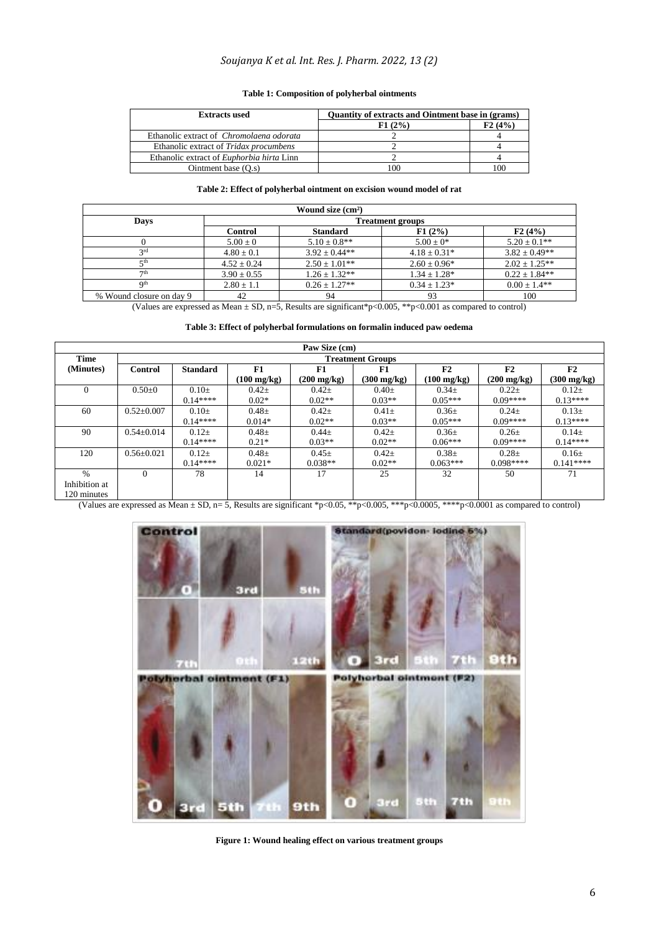# *Soujanya K et al. Int. Res. J. Pharm. 2022, 13 (2)*

## **Table 1: Composition of polyherbal ointments**

| <b>Extracts used</b>                             | Quantity of extracts and Ointment base in (grams) |        |  |
|--------------------------------------------------|---------------------------------------------------|--------|--|
|                                                  | F1(2%)                                            | F2(4%) |  |
| Ethanolic extract of <i>Chromolaena odorata</i>  |                                                   |        |  |
| Ethanolic extract of <i>Tridax procumbens</i>    |                                                   |        |  |
| Ethanolic extract of <i>Euphorbia hirta</i> Linn |                                                   |        |  |
| Ointment base (O.s)                              | 0 <sup>0</sup>                                    |        |  |

### **Table 2: Effect of polyherbal ointment on excision wound model of rat**

| Wound size (cm <sup>2</sup> ) |                         |                    |                   |                    |  |  |  |
|-------------------------------|-------------------------|--------------------|-------------------|--------------------|--|--|--|
| Days                          | <b>Treatment groups</b> |                    |                   |                    |  |  |  |
|                               | <b>Control</b>          | <b>Standard</b>    | F1(2%)            | F2(4%)             |  |  |  |
|                               | $5.00 \pm 0$            | $5.10 \pm 0.8$ **  | $5.00 \pm 0^*$    | $5.20 + 0.1**$     |  |  |  |
| 2rd                           | $4.80 \pm 0.1$          | $3.92 + 0.44**$    | $4.18 \pm 0.31*$  | $3.82 \pm 0.49**$  |  |  |  |
| $\leq$ th                     | $4.52 + 0.24$           | $2.50 \pm 1.01$ ** | $2.60 \pm 0.96^*$ | $2.02 + 1.25**$    |  |  |  |
| $\neg$ th                     | $3.90 \pm 0.55$         | $1.26 \pm 1.32**$  | $1.34 \pm 1.28*$  | $0.22 \pm 1.84$ ** |  |  |  |
| Q <sup>th</sup>               | $2.80 \pm 1.1$          | $0.26 \pm 1.27$ ** | $0.34 + 1.23*$    | $0.00 + 1.4**$     |  |  |  |
| % Wound closure on day 9      | 42                      | 94                 | 93                | 100                |  |  |  |

(Values are expressed as Mean  $\pm$  SD, n=5, Results are significant\*p<0.005, \*\*p<0.001 as compared to control)

## **Table 3: Effect of polyherbal formulations on formalin induced paw oedema**

| Paw Size (cm) |                         |                 |                       |                       |                       |                       |                       |                       |  |
|---------------|-------------------------|-----------------|-----------------------|-----------------------|-----------------------|-----------------------|-----------------------|-----------------------|--|
| <b>Time</b>   | <b>Treatment Groups</b> |                 |                       |                       |                       |                       |                       |                       |  |
| (Minutes)     | Control                 | <b>Standard</b> | F1                    | F1                    | F1                    | F2                    | F2                    | F2                    |  |
|               |                         |                 | $(100 \text{ mg/kg})$ | $(200 \text{ mg/kg})$ | $(300 \text{ mg/kg})$ | $(100 \text{ mg/kg})$ | $(200 \text{ mg/kg})$ | $(300 \text{ mg/kg})$ |  |
| $\Omega$      | $0.50 \pm 0$            | $0.10\pm$       | $0.42+$               | $0.42+$               | $0.40+$               | $0.34+$               | $0.22+$               | $0.12+$               |  |
|               |                         | $0.14***$       | $0.02*$               | $0.02**$              | $0.03**$              | $0.05***$             | $0.09***$             | $0.13***$             |  |
| 60            | $0.52 \pm 0.007$        | $0.10\pm$       | $0.48\pm$             | $0.42+$               | $0.41\pm$             | $0.36\pm$             | $0.24+$               | $0.13\pm$             |  |
|               |                         | $0.14***$       | $0.014*$              | $0.02**$              | $0.03**$              | $0.05***$             | $0.09***$             | $0.13***$             |  |
| 90            | $0.54 + 0.014$          | $0.12\pm$       | $0.48\pm$             | $0.44+$               | $0.42+$               | $0.36\pm$             | $0.26+$               | $0.14+$               |  |
|               |                         | $0.14***$       | $0.21*$               | $0.03**$              | $0.02**$              | $0.06***$             | $0.09***$             | $0.14***$             |  |
| 120           | $0.56 + 0.021$          | $0.12+$         | $0.48\pm$             | $0.45+$               | $0.42+$               | $0.38 \pm$            | $0.28+$               | $0.16+$               |  |
|               |                         | $0.14***$       | $0.021*$              | $0.038**$             | $0.02**$              | $0.063***$            | $0.098***$            | $0.141***$            |  |
| $\%$          | $\Omega$                | 78              | 14                    | 17                    | 25                    | 32                    | 50                    | 71                    |  |
| Inhibition at |                         |                 |                       |                       |                       |                       |                       |                       |  |
| 120 minutes   |                         |                 |                       |                       |                       |                       |                       |                       |  |

(Values are expressed as Mean  $\pm$  SD, n= 5, Results are significant \*p<0.05, \*\*p<0.005, \*\*\*p<0.0005, \*\*\*\*p<0.0001 as compared to control)



**Figure 1: Wound healing effect on various treatment groups**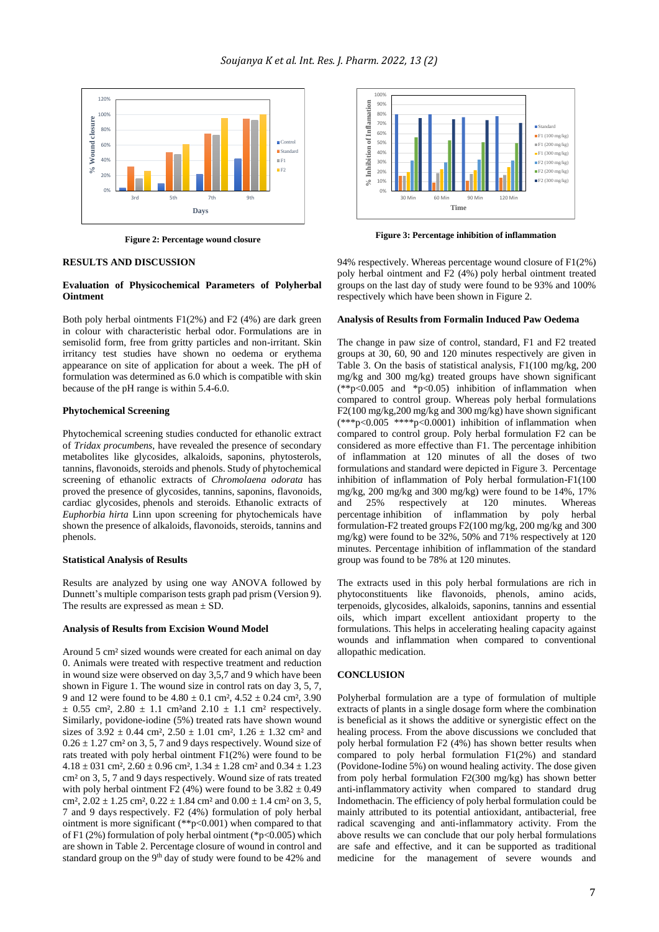



**Figure 2: Percentage wound closure Figure 3: Percentage inhibition of inflammation**

## **RESULTS AND DISCUSSION**

## **Evaluation of Physicochemical Parameters of Polyherbal Ointment**

Both poly herbal ointments F1(2%) and F2 (4%) are dark green in colour with characteristic herbal odor. Formulations are in semisolid form, free from gritty particles and non-irritant. Skin irritancy test studies have shown no oedema or erythema appearance on site of application for about a week. The pH of formulation was determined as 6.0 which is compatible with skin because of the pH range is within 5.4-6.0.

## **Phytochemical Screening**

Phytochemical screening studies conducted for ethanolic extract of *Tridax procumbens*, have revealed the presence of secondary metabolites like glycosides, alkaloids, saponins, phytosterols, tannins, flavonoids, steroids and phenols. Study of phytochemical screening of ethanolic extracts of *Chromolaena odorata* has proved the presence of glycosides, tannins, saponins, flavonoids, cardiac glycosides, phenols and steroids. Ethanolic extracts of *Euphorbia hirta* Linn upon screening for phytochemicals have shown the presence of alkaloids, flavonoids, steroids, tannins and phenols.

### **Statistical Analysis of Results**

Results are analyzed by using one way ANOVA followed by Dunnett's multiple comparison tests graph pad prism (Version 9). The results are expressed as mean  $\pm$  SD.

#### **Analysis of Results from Excision Wound Model**

Around 5 cm² sized wounds were created for each animal on day 0. Animals were treated with respective treatment and reduction in wound size were observed on day 3,5,7 and 9 which have been shown in Figure 1. The wound size in control rats on day 3, 5, 7, 9 and 12 were found to be  $4.80 \pm 0.1$  cm<sup>2</sup>,  $4.52 \pm 0.24$  cm<sup>2</sup>, 3.90  $\pm$  0.55 cm<sup>2</sup>, 2.80  $\pm$  1.1 cm<sup>2</sup> and 2.10  $\pm$  1.1 cm<sup>2</sup> respectively. Similarly, povidone-iodine (5%) treated rats have shown wound sizes of  $3.92 \pm 0.44$  cm<sup>2</sup>,  $2.50 \pm 1.01$  cm<sup>2</sup>,  $1.26 \pm 1.32$  cm<sup>2</sup> and  $0.26 \pm 1.27$  cm<sup>2</sup> on 3, 5, 7 and 9 days respectively. Wound size of rats treated with poly herbal ointment F1(2%) were found to be 4.18  $\pm$  031 cm<sup>2</sup>, 2.60  $\pm$  0.96 cm<sup>2</sup>, 1.34  $\pm$  1.28 cm<sup>2</sup> and 0.34  $\pm$  1.23 cm² on 3, 5, 7 and 9 days respectively. Wound size of rats treated with poly herbal ointment F2 (4%) were found to be  $3.82 \pm 0.49$ cm<sup>2</sup>,  $2.02 \pm 1.25$  cm<sup>2</sup>,  $0.22 \pm 1.84$  cm<sup>2</sup> and  $0.00 \pm 1.4$  cm<sup>2</sup> on 3, 5, 7 and 9 days respectively. F2 (4%) formulation of poly herbal ointment is more significant (\*\*p<0.001) when compared to that of F1 (2%) formulation of poly herbal ointment (\*p<0.005) which are shown in Table 2. Percentage closure of wound in control and standard group on the 9<sup>th</sup> day of study were found to be 42% and

94% respectively. Whereas percentage wound closure of F1(2%) poly herbal ointment and F2 (4%) poly herbal ointment treated groups on the last day of study were found to be 93% and 100% respectively which have been shown in Figure 2.

## **Analysis of Results from Formalin Induced Paw Oedema**

The change in paw size of control, standard, F1 and F2 treated groups at 30, 60, 90 and 120 minutes respectively are given in Table 3. On the basis of statistical analysis, F1(100 mg/kg, 200 mg/kg and 300 mg/kg) treated groups have shown significant  $(*p<0.005$  and  $*p<0.05)$  inhibition of inflammation when compared to control group. Whereas poly herbal formulations F2(100 mg/kg,200 mg/kg and 300 mg/kg) have shown significant  $(***p<0.005$  \*\*\*\*p<0.0001) inhibition of inflammation when compared to control group. Poly herbal formulation F2 can be considered as more effective than F1. The percentage inhibition of inflammation at 120 minutes of all the doses of two formulations and standard were depicted in Figure 3. Percentage inhibition of inflammation of Poly herbal formulation-F1(100 mg/kg, 200 mg/kg and 300 mg/kg) were found to be 14%, 17% and 25% respectively at 120 minutes. Whereas percentage inhibition of inflammation by poly herbal formulation-F2 treated groups F2(100 mg/kg, 200 mg/kg and 300 mg/kg) were found to be 32%, 50% and 71% respectively at 120 minutes. Percentage inhibition of inflammation of the standard group was found to be 78% at 120 minutes.

The extracts used in this poly herbal formulations are rich in phytoconstituents like flavonoids, phenols, amino acids, terpenoids, glycosides, alkaloids, saponins, tannins and essential oils, which impart excellent antioxidant property to the formulations. This helps in accelerating healing capacity against wounds and inflammation when compared to conventional allopathic medication.

## **CONCLUSION**

Polyherbal formulation are a type of formulation of multiple extracts of plants in a single dosage form where the combination is beneficial as it shows the additive or synergistic effect on the healing process. From the above discussions we concluded that poly herbal formulation F2 (4%) has shown better results when compared to poly herbal formulation F1(2%) and standard (Povidone-Iodine 5%) on wound healing activity. The dose given from poly herbal formulation F2(300 mg/kg) has shown better anti-inflammatory activity when compared to standard drug Indomethacin. The efficiency of poly herbal formulation could be mainly attributed to its potential antioxidant, antibacterial, free radical scavenging and anti-inflammatory activity. From the above results we can conclude that our poly herbal formulations are safe and effective, and it can be supported as traditional medicine for the management of severe wounds and